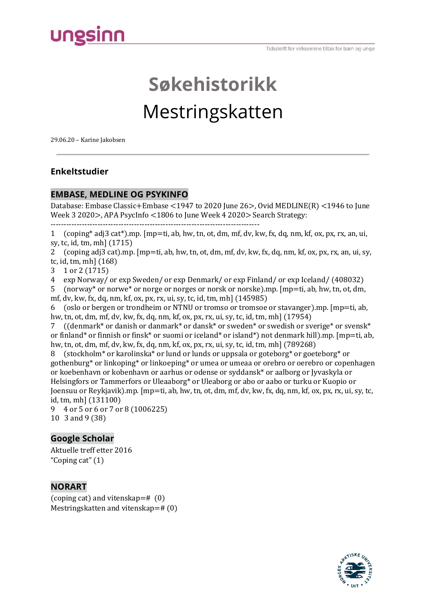# ungsinn

# **Søkehistorikk**  Mestringskatten

29.06.20 – Karine Jakobsen

# **Enkeltstudier**

#### **EMBASE, MEDLINE OG PSYKINFO**

Database: Embase Classic+Embase <1947 to 2020 June 26>, Ovid MEDLINE(R) <1946 to June Week 3 2020>, APA PsycInfo <1806 to June Week 4 2020> Search Strategy: --------------------------------------------------------------------------------

1 (coping\* adj3 cat\*).mp. [mp=ti, ab, hw, tn, ot, dm, mf, dv, kw, fx, dq, nm, kf, ox, px, rx, an, ui, sy, tc, id, tm, mh] (1715)

2 (coping adj3 cat).mp. [mp=ti, ab, hw, tn, ot, dm, mf, dv, kw, fx, dq, nm, kf, ox, px, rx, an, ui, sy, tc, id, tm, mh] (168)

3 1 or 2 (1715)

4 exp Norway/ or exp Sweden/ or exp Denmark/ or exp Finland/ or exp Iceland/ (408032)<br>5 (norway\* or norwe\* or norge or norges or norsk or norske).mp. [mp=ti, ab. hw. tn. ot. dm.

5 (norway\* or norwe\* or norge or norges or norsk or norske).mp. [mp=ti, ab, hw, tn, ot, dm, mf, dv, kw, fx, dq, nm, kf, ox, px, rx, ui, sy, tc, id, tm, mh] (145985)

6 (oslo or bergen or trondheim or NTNU or tromso or tromsoe or stavanger).mp. [mp=ti, ab, hw, tn, ot, dm, mf, dv, kw, fx, dq, nm, kf, ox, px, rx, ui, sy, tc, id, tm, mh] (17954)<br>7 ((denmark\* or danish or danmark\* or dansk\* or sweden\* or swedish or sv

((denmark\* or danish or danmark\* or dansk\* or sweden\* or swedish or sverige\* or svensk\* or finland\* or finnish or finsk\* or suomi or iceland\* or island\*) not denmark hill).mp. [mp=ti, ab, hw, tn, ot, dm, mf, dv, kw, fx, dq, nm, kf, ox, px, rx, ui, sy, tc, id, tm, mh] (789268)

8 (stockholm\* or karolinska\* or lund or lunds or uppsala or goteborg\* or goeteborg\* or gothenburg\* or linkoping\* or linkoeping\* or umea or umeaa or orebro or oerebro or copenhagen or koebenhavn or kobenhavn or aarhus or odense or syddansk\* or aalborg or Jyvaskyla or Helsingfors or Tammerfors or Uleaaborg\* or Uleaborg or abo or aabo or turku or Kuopio or Joensuu or Reykjavik).mp. [mp=ti, ab, hw, tn, ot, dm, mf, dv, kw, fx, dq, nm, kf, ox, px, rx, ui, sy, tc, id, tm, mh] (131100)

9 4 or 5 or 6 or 7 or 8 (1006225) 10 3 and 9 (38)

# **Google Scholar**

Aktuelle treff etter 2016 "Coping cat" (1)

# **NORART**

(coping cat) and vitenskap=# (0) Mestringskatten and vitenskap=# (0)

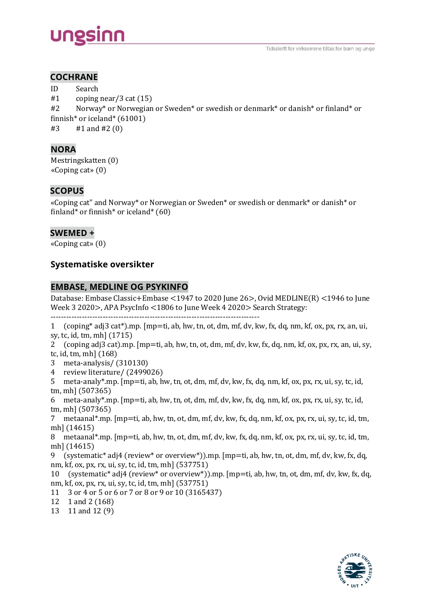# **COCHRANE**

ID Search<br>#1 coping  $#1$  coping near/3 cat (15)<br> $#2$  Norway\* or Norwegian Norway\* or Norwegian or Sweden\* or swedish or denmark\* or danish\* or finland\* or finnish\* or iceland\* (61001)<br>#3 #1 and #2 (0) #3 #1 and #2 (0)

# **NORA**

Mestringskatten (0) «Coping cat» (0)

# **SCOPUS**

«Coping cat" and Norway\* or Norwegian or Sweden\* or swedish or denmark\* or danish\* or finland\* or finnish\* or iceland\* (60)

#### **SWEMED +**

«Coping cat» (0)

# **Systematiske oversikter**

#### **EMBASE, MEDLINE OG PSYKINFO**

Database: Embase Classic+Embase <1947 to 2020 June 26>, Ovid MEDLINE(R) <1946 to June Week 3 2020>, APA PsycInfo <1806 to June Week 4 2020> Search Strategy:

--------------------------------------------------------------------------------

1 (coping\* adj3 cat\*).mp. [mp=ti, ab, hw, tn, ot, dm, mf, dv, kw, fx, dq, nm, kf, ox, px, rx, an, ui, sy, tc, id, tm, mh] (1715)

2 (coping adj3 cat).mp. [mp=ti, ab, hw, tn, ot, dm, mf, dv, kw, fx, dq, nm, kf, ox, px, rx, an, ui, sy, tc, id, tm, mh] (168)

- 3 meta-analysis/ (310130)
- 4 review literature/ (2499026)
- 5 meta-analy\*.mp. [mp=ti, ab, hw, tn, ot, dm, mf, dv, kw, fx, dq, nm, kf, ox, px, rx, ui, sy, tc, id, tm, mh] (507365)
- 6 meta-analy\*.mp. [mp=ti, ab, hw, tn, ot, dm, mf, dv, kw, fx, dq, nm, kf, ox, px, rx, ui, sy, tc, id, tm, mh] (507365)
- 7 metaanal\*.mp. [mp=ti, ab, hw, tn, ot, dm, mf, dv, kw, fx, dq, nm, kf, ox, px, rx, ui, sy, tc, id, tm, mh] (14615)
- 8 metaanal\*.mp. [mp=ti, ab, hw, tn, ot, dm, mf, dv, kw, fx, dq, nm, kf, ox, px, rx, ui, sy, tc, id, tm, mh] (14615)
- 9 (systematic\* adj4 (review\* or overview\*)).mp. [mp=ti, ab, hw, tn, ot, dm, mf, dv, kw, fx, dq, nm, kf, ox, px, rx, ui, sy, tc, id, tm, mh] (537751)
- 10 (systematic\* adj4 (review\* or overview\*)).mp. [mp=ti, ab, hw, tn, ot, dm, mf, dv, kw, fx, dq, nm, kf, ox, px, rx, ui, sy, tc, id, tm, mh] (537751)
- 11 3 or 4 or 5 or 6 or 7 or 8 or 9 or 10 (3165437)
- 12 1 and 2 (168)
- 13 11 and 12 (9)